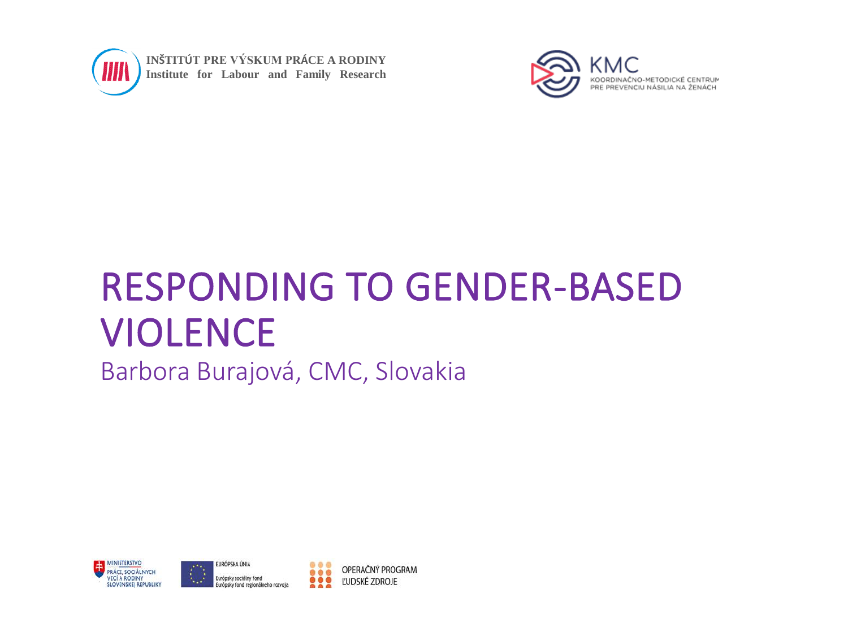

**INŠTITÚT PRE VÝSKUM PRÁCE A RODINY Institute for Labour and Family Research**



# RESPONDING TO GENDER-BASED VIOLENCE

Barbora Burajová, CMC, Slovakia





OPERAČNÝ PROGRAM ĽUDSKÉ ZDROJE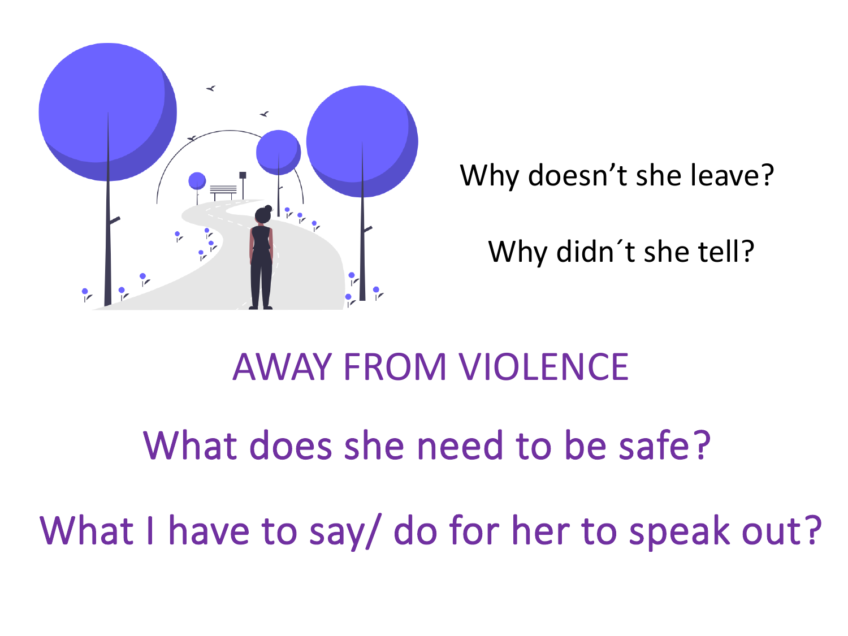

Why doesn't she leave?

Why didn´t she tell?

# AWAY FROM VIOLENCE

# What does she need to be safe?

What I have to say/ do for her to speak out?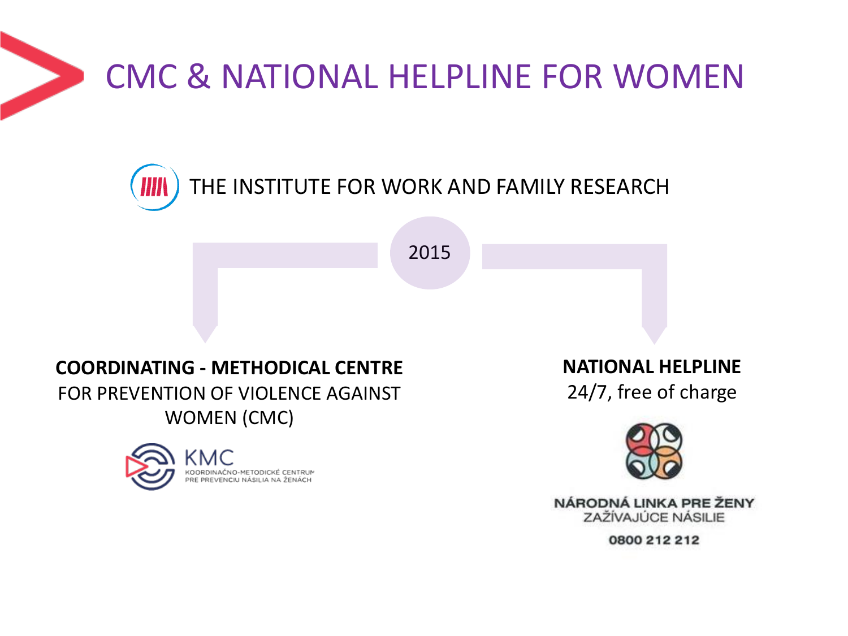## CMC & NATIONAL HELPLINE FOR WOMEN



2015

#### **COORDINATING - METHODICAL CENTRE**  FOR PREVENTION OF VIOLENCE AGAINST WOMEN (CMC)



**NATIONAL HELPLINE**

24/7, free of charge



NÁRODNÁ LINKA PRE ŽENY ZAŽÍVAJÚCE NÁSILIE

0800 212 212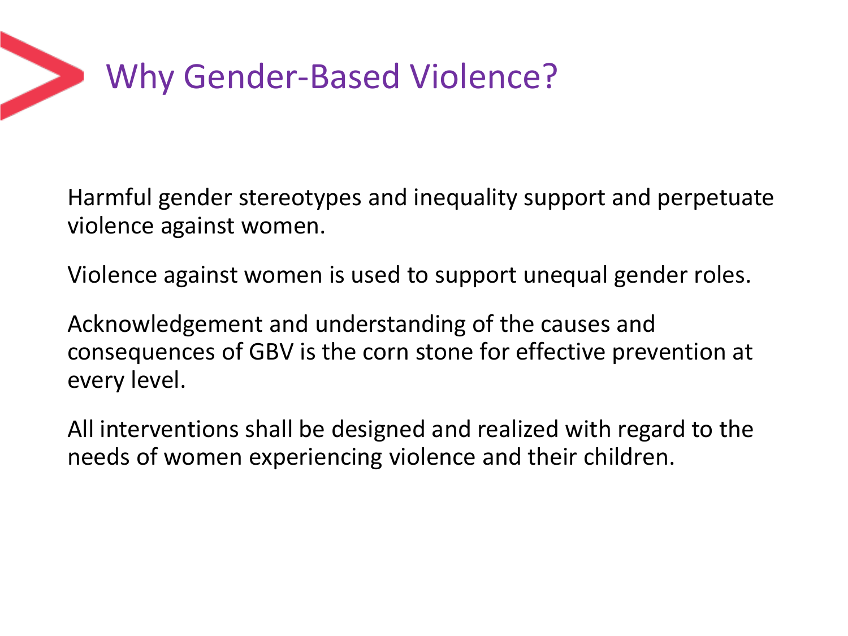

Harmful gender stereotypes and inequality support and perpetuate violence against women.

Violence against women is used to support unequal gender roles.

Acknowledgement and understanding of the causes and consequences of GBV is the corn stone for effective prevention at every level.

All interventions shall be designed and realized with regard to the needs of women experiencing violence and their children.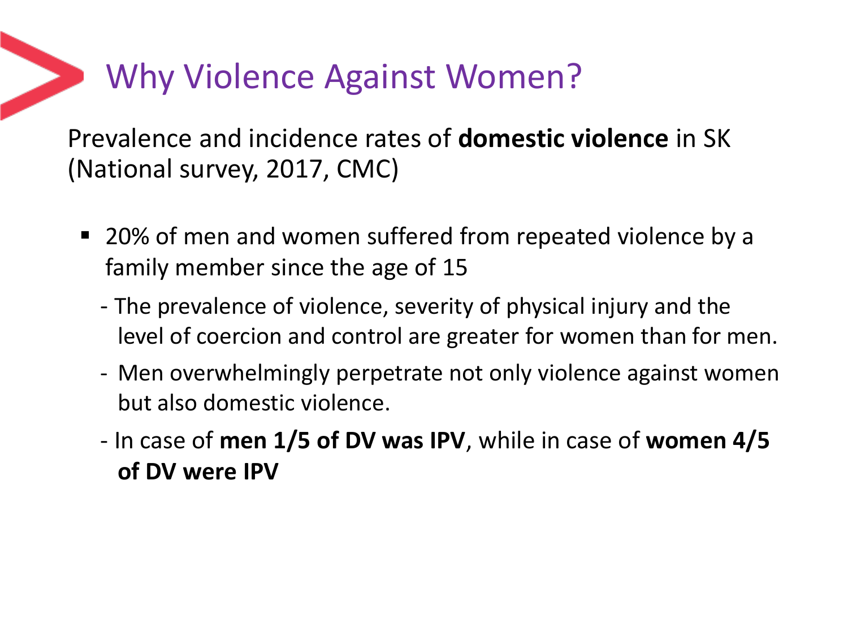### Why Violence Against Women?

Prevalence and incidence rates of **domestic violence** in SK (National survey, 2017, CMC)

- 20% of men and women suffered from repeated violence by a family member since the age of 15
	- The prevalence of violence, severity of physical injury and the level of coercion and control are greater for women than for men.
	- Men overwhelmingly perpetrate not only violence against women but also domestic violence.
	- In case of **men 1/5 of DV was IPV**, while in case of **women 4/5 of DV were IPV**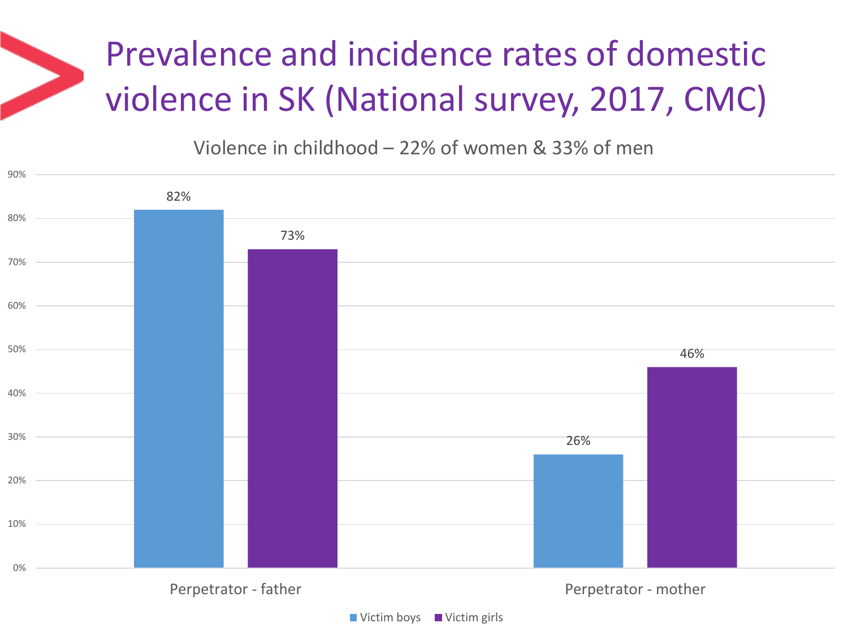Violence in childhood – 22% of women & 33% of men



 $\blacksquare$  Victim boys  $\blacksquare$  Victim girls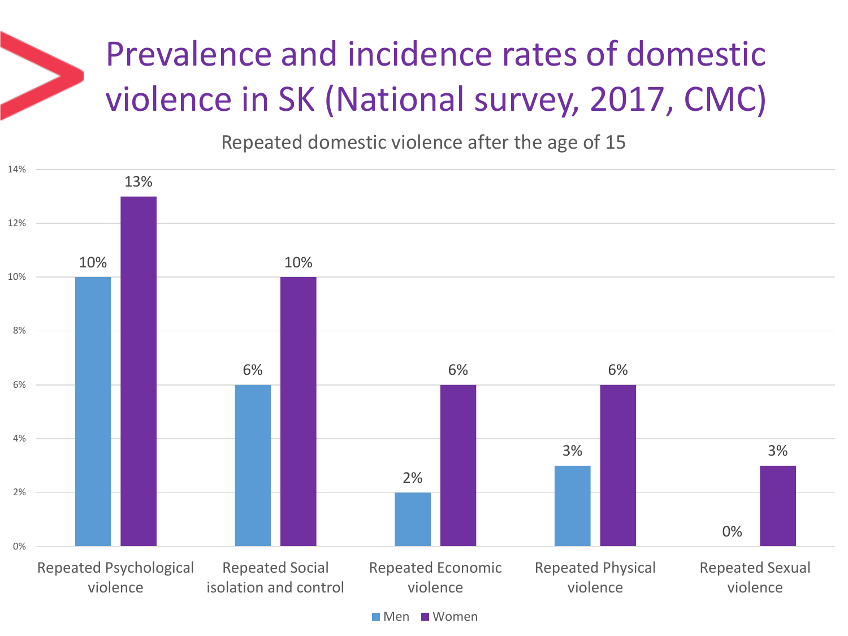Repeated domestic violence after the age of 15



Men Women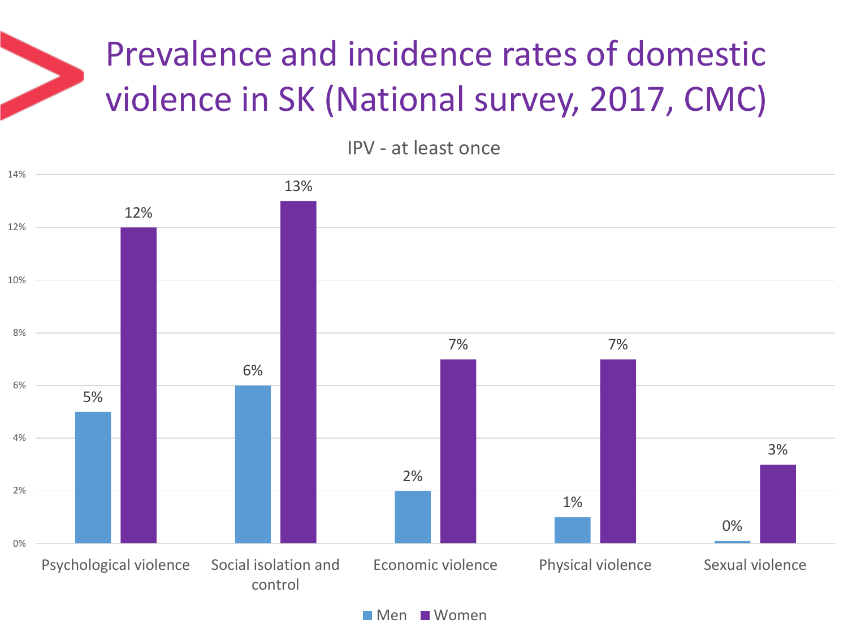IPV - at least once



**Men Women**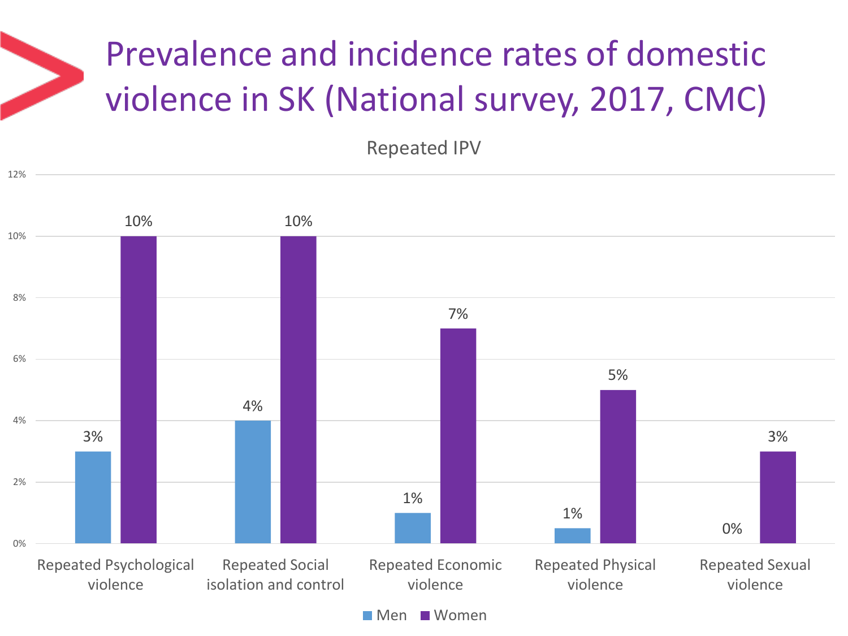Repeated IPV



**Men Women**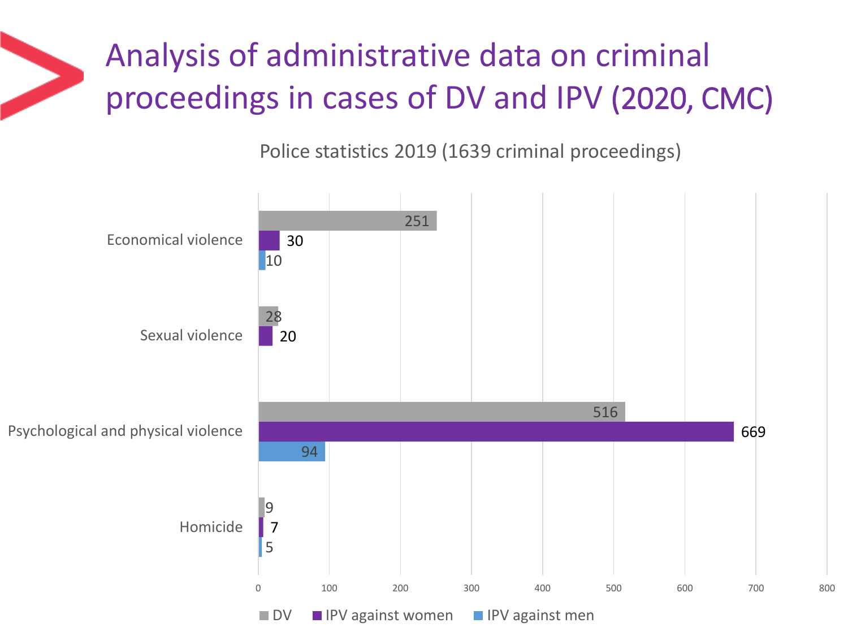## Analysis of administrative data on criminal proceedings in cases of DV and IPV (2020, CMC)

Police statistics 2019 (1639 criminal proceedings)

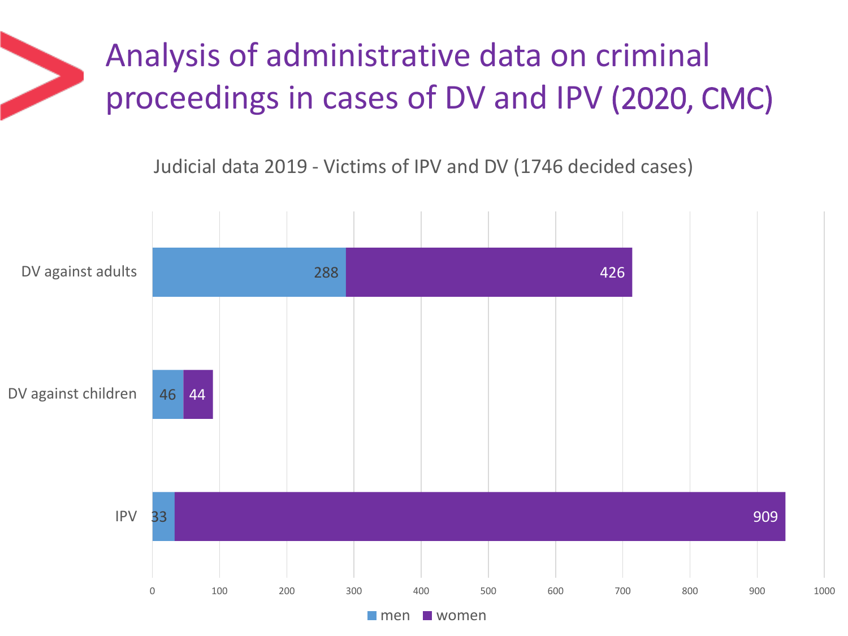## Analysis of administrative data on criminal proceedings in cases of DV and IPV (2020, CMC)

Judicial data 2019 - Victims of IPV and DV (1746 decided cases)

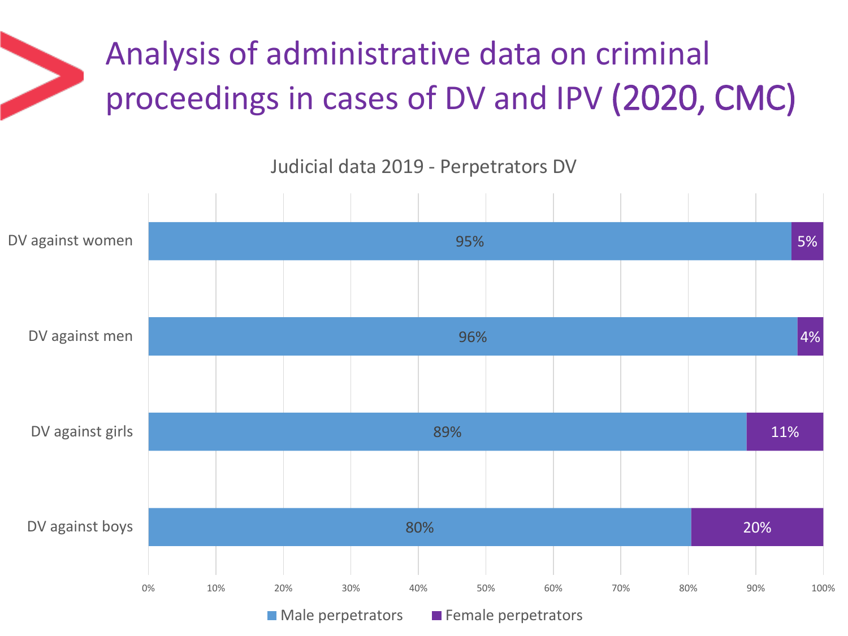## Analysis of administrative data on criminal proceedings in cases of DV and IPV (2020, CMC)

Judicial data 2019 - Perpetrators DV



 $\blacksquare$  Male perpetrators  $\blacksquare$  Female perpetrators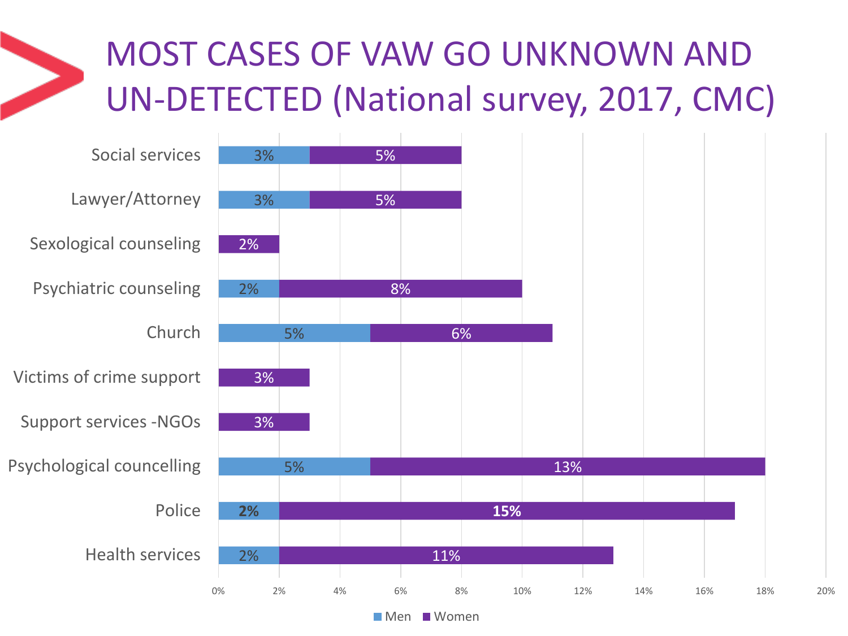## MOST CASES OF VAW GO UNKNOWN AND UN-DETECTED (National survey, 2017, CMC)

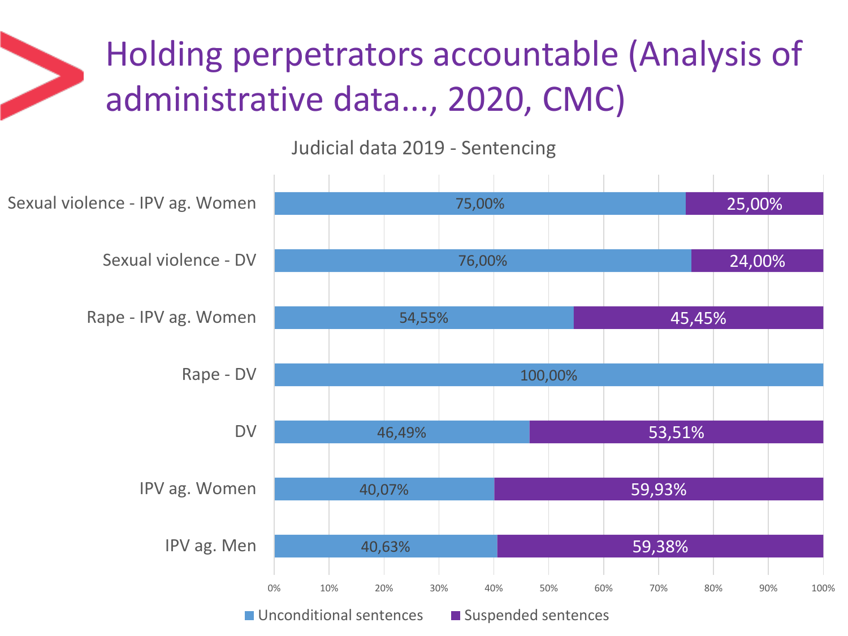## Holding perpetrators accountable (Analysis of administrative data..., 2020, CMC)

Judicial data 2019 - Sentencing

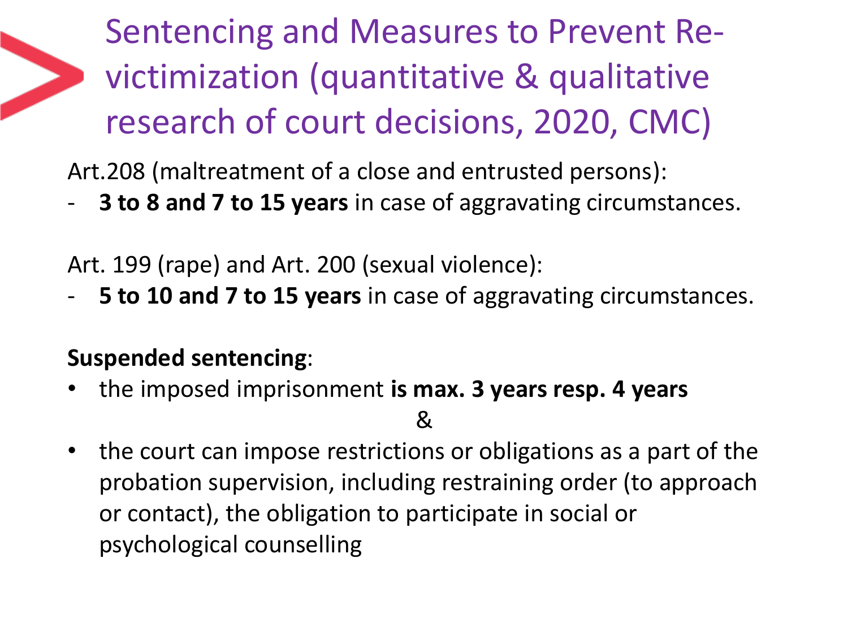Sentencing and Measures to Prevent Revictimization (quantitative & qualitative research of court decisions, 2020, CMC)

Art.208 (maltreatment of a close and entrusted persons):

- **3 to 8 and 7 to 15 years** in case of aggravating circumstances.

Art. 199 (rape) and Art. 200 (sexual violence):

- **5 to 10 and 7 to 15 years** in case of aggravating circumstances.

#### **Suspended sentencing**:

• the imposed imprisonment **is max. 3 years resp. 4 years**

 $\mathcal{R}_{\mathcal{L}}$ 

• the court can impose restrictions or obligations as a part of the probation supervision, including restraining order (to approach or contact), the obligation to participate in social or psychological counselling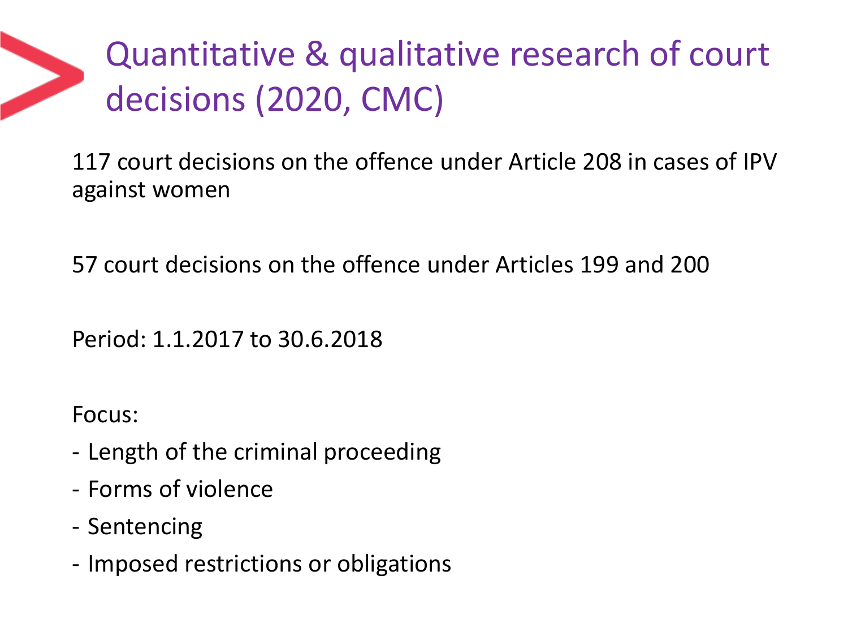Quantitative & qualitative research of court decisions (2020, CMC)

117 court decisions on the offence under Article 208 in cases of IPV against women

57 court decisions on the offence under Articles 199 and 200

Period: 1.1.2017 to 30.6.2018

Focus:

- Length of the criminal proceeding
- Forms of violence
- Sentencing
- Imposed restrictions or obligations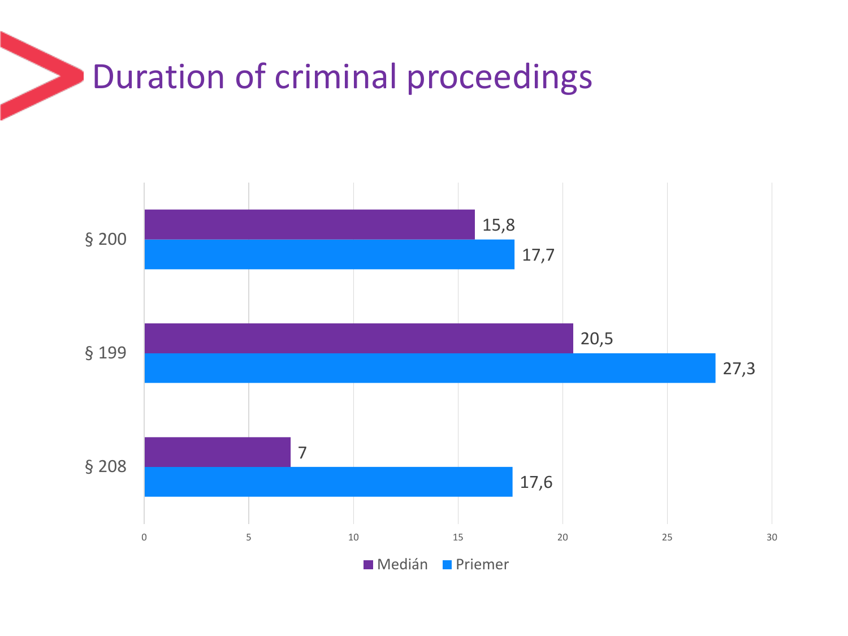### Duration of criminal proceedings

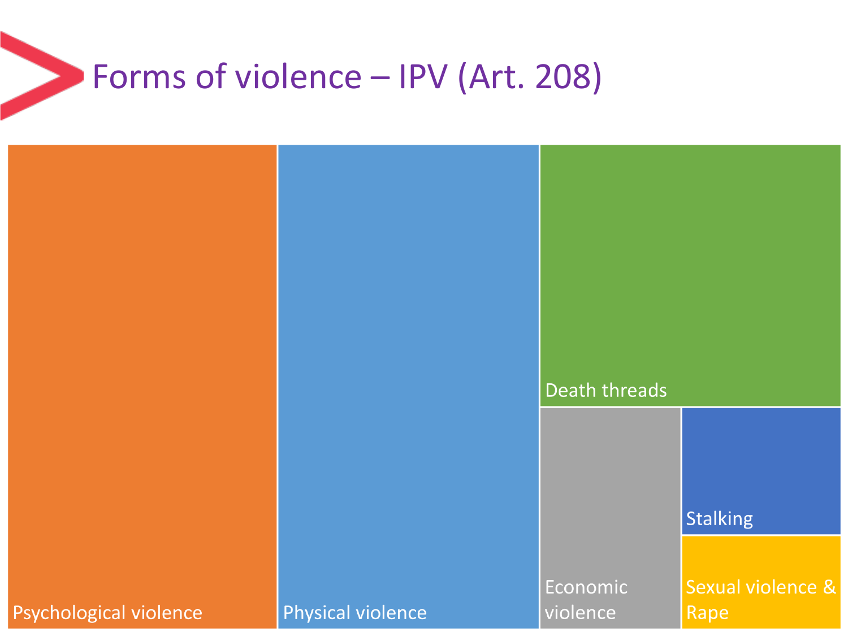### Forms of violence – IPV (Art. 208)

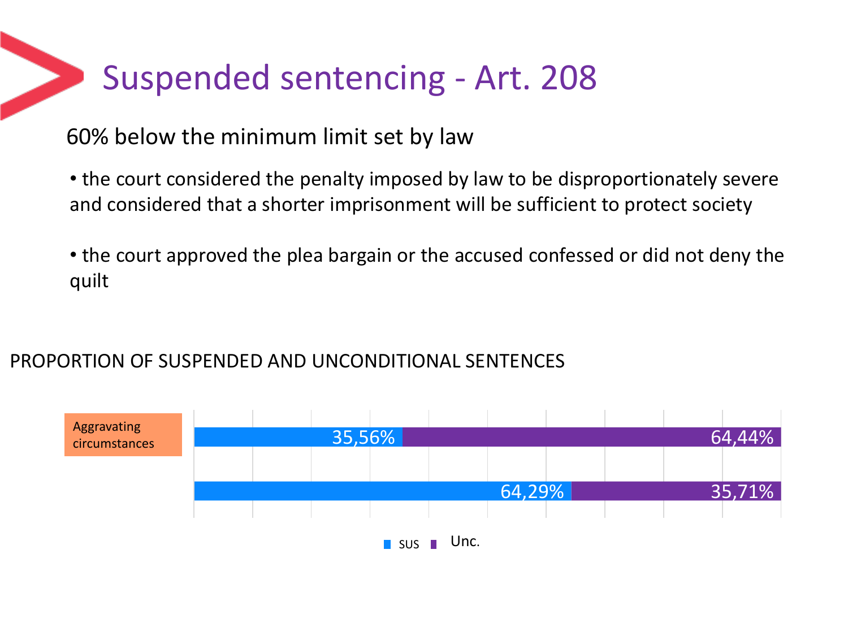### Suspended sentencing - Art. 208

#### 60% below the minimum limit set by law

• the court considered the penalty imposed by law to be disproportionately severe and considered that a shorter imprisonment will be sufficient to protect society

• the court approved the plea bargain or the accused confessed or did not deny the quilt

#### PROPORTION OF SUSPENDED AND UNCONDITIONAL SENTENCES

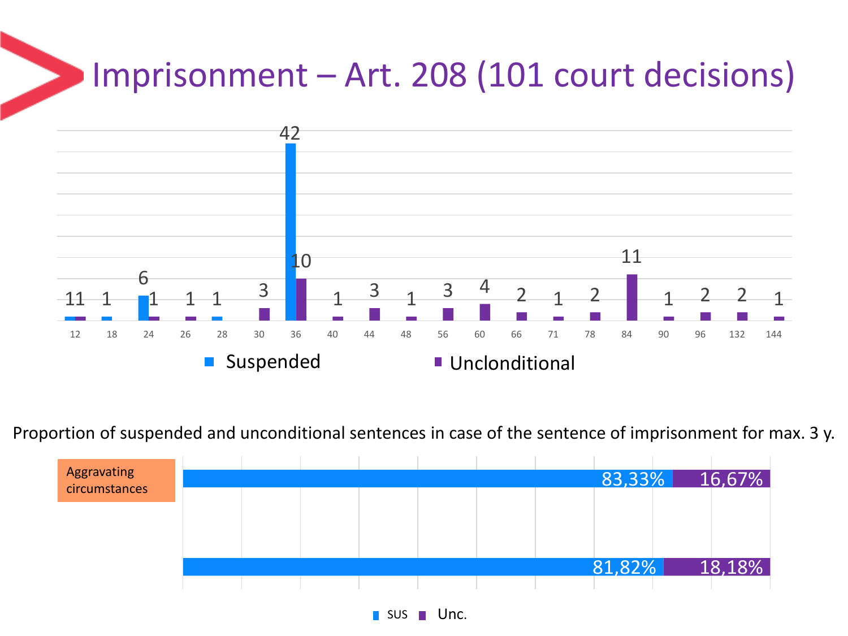## Imprisonment – Art. 208 (101 court decisions)



Proportion of suspended and unconditional sentences in case of the sentence of imprisonment for max. 3 y.



 $\blacksquare$  sus  $\blacksquare$  Unc.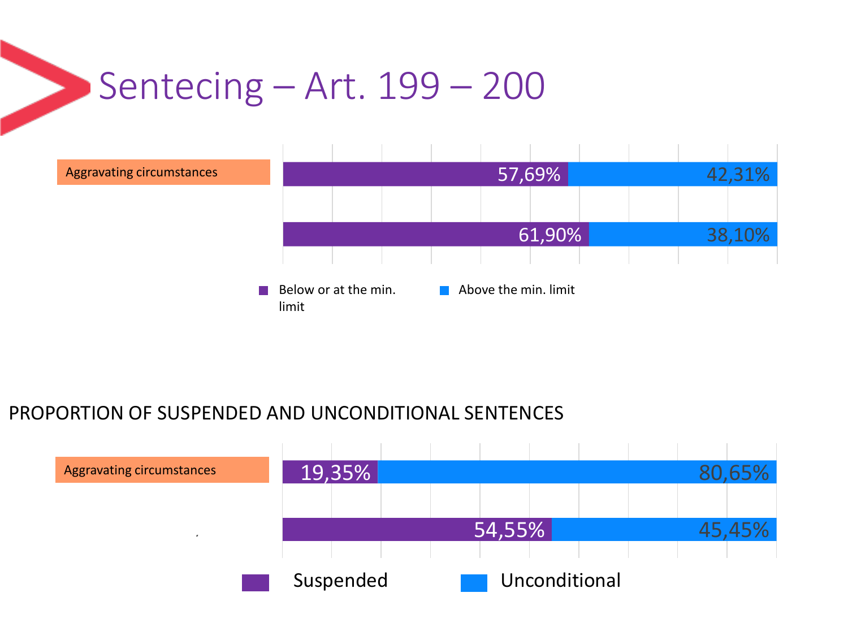## Sentecing – Art. 199 – 200



#### PROPORTION OF SUSPENDED AND UNCONDITIONAL SENTENCES

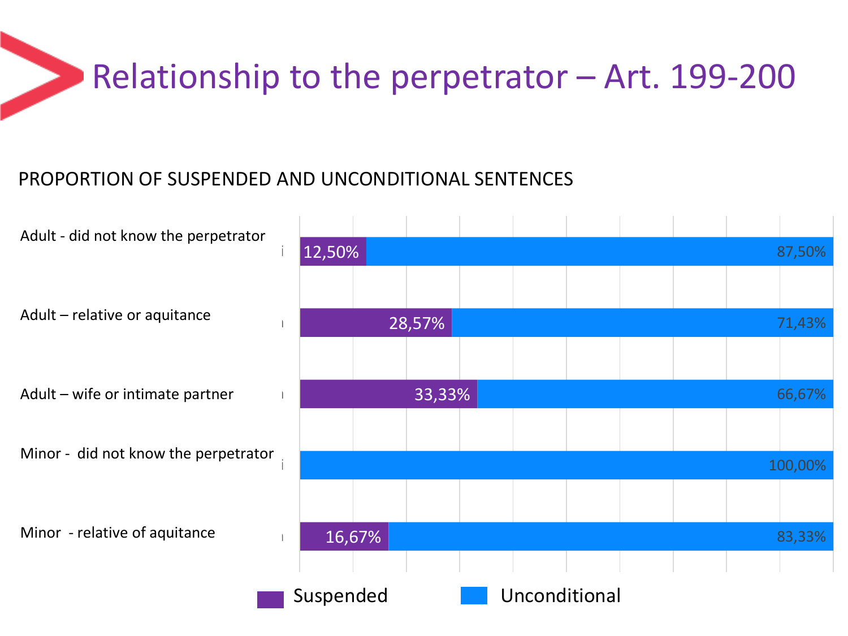## Relationship to the perpetrator – Art. 199-200

#### PROPORTION OF SUSPENDED AND UNCONDITIONAL SENTENCES

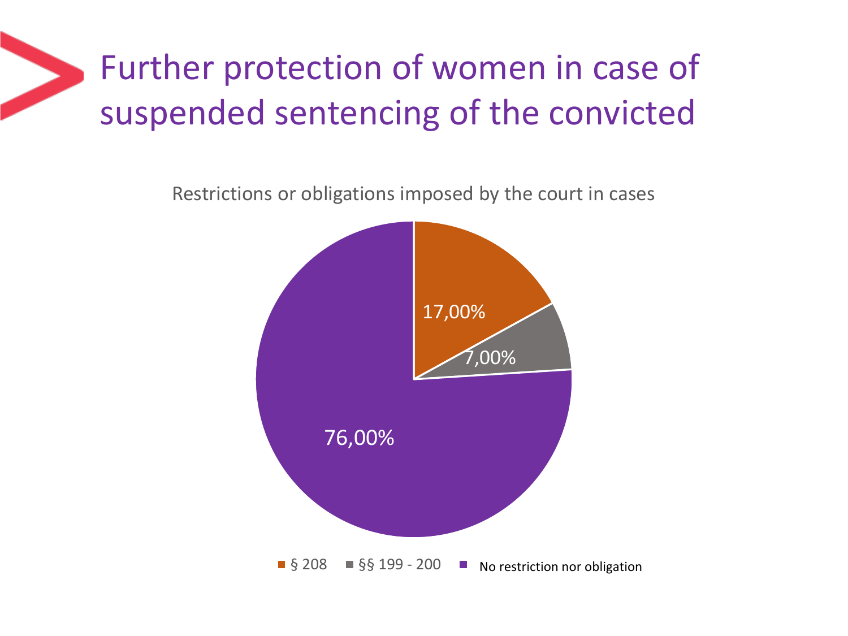## Further protection of women in case of suspended sentencing of the convicted

Restrictions or obligations imposed by the court in cases

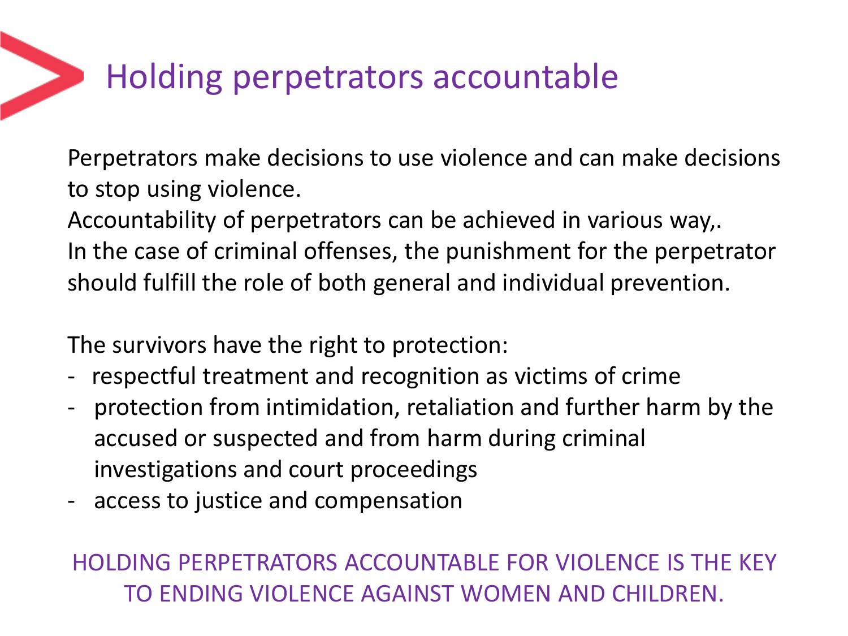## Holding perpetrators accountable

Perpetrators make decisions to use violence and can make decisions to stop using violence.

Accountability of perpetrators can be achieved in various way,. In the case of criminal offenses, the punishment for the perpetrator should fulfill the role of both general and individual prevention.

The survivors have the right to protection:

- respectful treatment and recognition as victims of crime
- protection from intimidation, retaliation and further harm by the accused or suspected and from harm during criminal investigations and court proceedings
- access to justice and compensation

#### HOLDING PERPETRATORS ACCOUNTABLE FOR VIOLENCE IS THE KEY TO ENDING VIOLENCE AGAINST WOMEN AND CHILDREN.